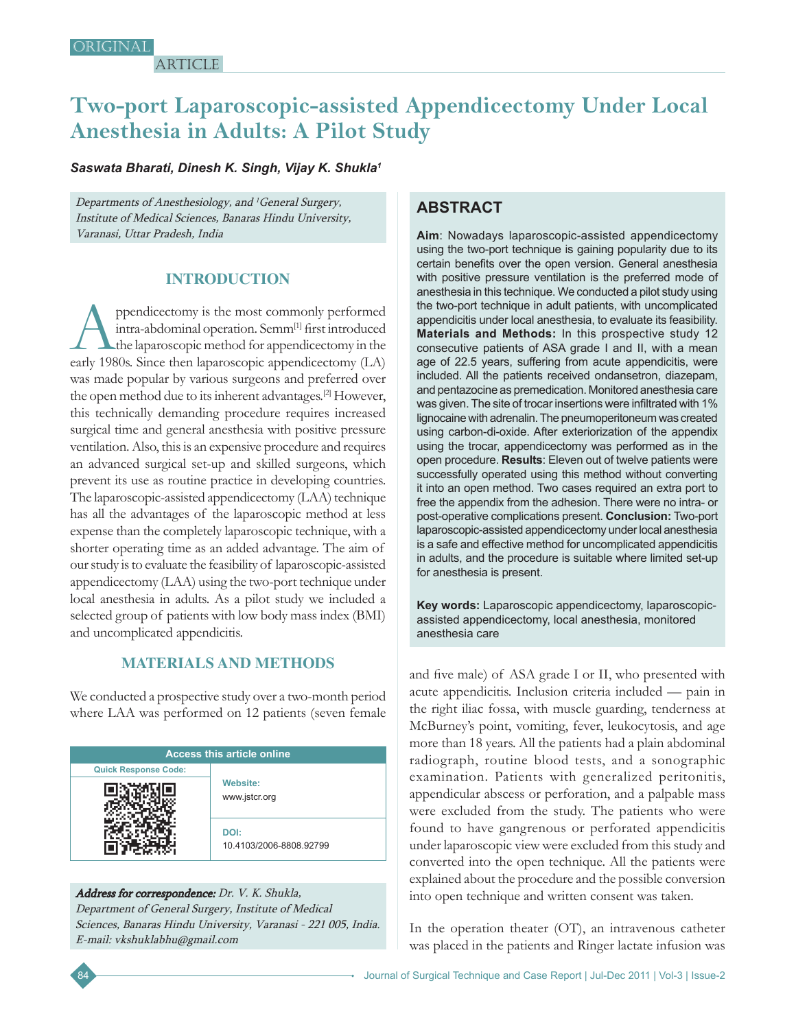**ARTICLE** 

# **Two-port Laparoscopic-assisted Appendicectomy Under Local Anesthesia in Adults: A Pilot Study**

#### *Saswata Bharati, Dinesh K. Singh, Vijay K. Shukla1*

Departments of Anesthesiology, and <sup>1</sup>General Surgery, Institute of Medical Sciences, Banaras Hindu University, Varanasi, Uttar Pradesh, India

# **INTRODUCTION**

ppendicectomy is the most commonly performed intra-abdominal operation. Semm[1] first introduced the laparoscopic method for appendicectomy in the early 1980s. Since then laparoscopic appendicectomy (LA) was made popular by various surgeons and preferred over the open method due to its inherent advantages.[2] However, this technically demanding procedure requires increased surgical time and general anesthesia with positive pressure ventilation. Also, this is an expensive procedure and requires an advanced surgical set-up and skilled surgeons, which prevent its use as routine practice in developing countries. The laparoscopic-assisted appendicectomy (LAA) technique has all the advantages of the laparoscopic method at less expense than the completely laparoscopic technique, with a shorter operating time as an added advantage. The aim of our study is to evaluate the feasibility of laparoscopic-assisted appendicectomy (LAA) using the two-port technique under local anesthesia in adults. As a pilot study we included a selected group of patients with low body mass index (BMI) and uncomplicated appendicitis.

## **MATERIALS AND METHODS**

We conducted a prospective study over a two-month period where LAA was performed on 12 patients (seven female

| <b>Access this article online</b> |                                  |  |
|-----------------------------------|----------------------------------|--|
| <b>Quick Response Code:</b>       |                                  |  |
|                                   | <b>Website:</b><br>www.jstcr.org |  |
|                                   | DOI:<br>10.4103/2006-8808.92799  |  |

#### Address for correspondence: Dr. V. K. Shukla,

Department of General Surgery, Institute of Medical Sciences, Banaras Hindu University, Varanasi - 221 005, India. E-mail: vkshuklabhu@gmail.com

# **ABSTRACT**

**Aim**: Nowadays laparoscopic-assisted appendicectomy using the two-port technique is gaining popularity due to its certain benefits over the open version. General anesthesia with positive pressure ventilation is the preferred mode of anesthesia in this technique. We conducted a pilot study using the two-port technique in adult patients, with uncomplicated appendicitis under local anesthesia, to evaluate its feasibility. **Materials and Methods:** In this prospective study 12 consecutive patients of ASA grade I and II, with a mean age of 22.5 years, suffering from acute appendicitis, were included. All the patients received ondansetron, diazepam, and pentazocine as premedication. Monitored anesthesia care was given. The site of trocar insertions were infiltrated with 1% lignocaine with adrenalin. The pneumoperitoneum was created using carbon-di-oxide. After exteriorization of the appendix using the trocar, appendicectomy was performed as in the open procedure. **Results**: Eleven out of twelve patients were successfully operated using this method without converting it into an open method. Two cases required an extra port to free the appendix from the adhesion. There were no intra- or post-operative complications present. **Conclusion:** Two-port laparoscopic-assisted appendicectomy under local anesthesia is a safe and effective method for uncomplicated appendicitis in adults, and the procedure is suitable where limited set-up for anesthesia is present.

**Key words:** Laparoscopic appendicectomy, laparoscopicassisted appendicectomy, local anesthesia, monitored anesthesia care

and five male) of ASA grade I or II, who presented with acute appendicitis. Inclusion criteria included — pain in the right iliac fossa, with muscle guarding, tenderness at McBurney's point, vomiting, fever, leukocytosis, and age more than 18 years. All the patients had a plain abdominal radiograph, routine blood tests, and a sonographic examination. Patients with generalized peritonitis, appendicular abscess or perforation, and a palpable mass were excluded from the study. The patients who were found to have gangrenous or perforated appendicitis under laparoscopic view were excluded from this study and converted into the open technique. All the patients were explained about the procedure and the possible conversion into open technique and written consent was taken.

In the operation theater (OT), an intravenous catheter was placed in the patients and Ringer lactate infusion was

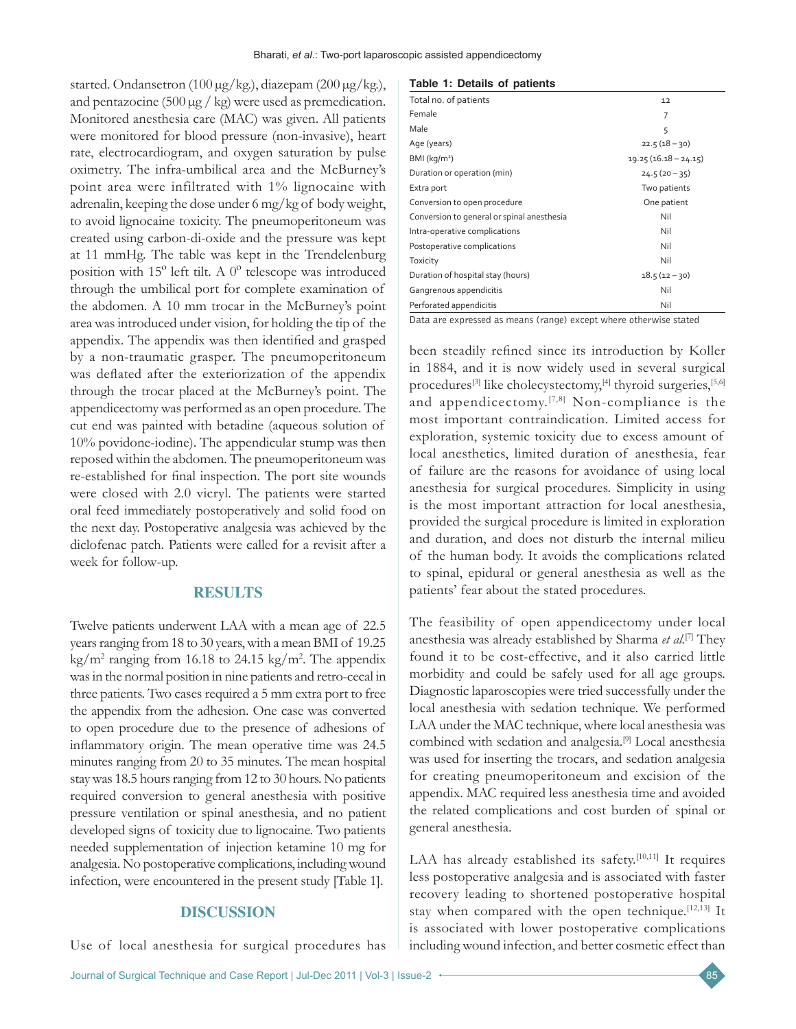started. Ondansetron (100 µg/kg.), diazepam (200 µg/kg.), and pentazocine (500 µg / kg) were used as premedication. Monitored anesthesia care (MAC) was given. All patients were monitored for blood pressure (non-invasive), heart rate, electrocardiogram, and oxygen saturation by pulse oximetry. The infra-umbilical area and the McBurney's point area were infiltrated with 1% lignocaine with adrenalin, keeping the dose under 6 mg/kg of body weight, to avoid lignocaine toxicity. The pneumoperitoneum was created using carbon-di-oxide and the pressure was kept at 11 mmHg. The table was kept in the Trendelenburg position with 15º left tilt. A 0º telescope was introduced through the umbilical port for complete examination of the abdomen. A 10 mm trocar in the McBurney's point area was introduced under vision, for holding the tip of the appendix. The appendix was then identified and grasped by a non-traumatic grasper. The pneumoperitoneum was deflated after the exteriorization of the appendix through the trocar placed at the McBurney's point. The appendicectomy was performed as an open procedure. The cut end was painted with betadine (aqueous solution of 10% povidone-iodine). The appendicular stump was then reposed within the abdomen. The pneumoperitoneum was re-established for final inspection. The port site wounds were closed with 2.0 vicryl. The patients were started oral feed immediately postoperatively and solid food on the next day. Postoperative analgesia was achieved by the diclofenac patch. Patients were called for a revisit after a week for follow-up.

#### **RESULTS**

Twelve patients underwent LAA with a mean age of 22.5 years ranging from 18 to 30 years, with a mean BMI of 19.25  $\text{kg/m}^2$  ranging from 16.18 to 24.15 kg/m<sup>2</sup>. The appendix was in the normal position in nine patients and retro-cecal in three patients. Two cases required a 5 mm extra port to free the appendix from the adhesion. One case was converted to open procedure due to the presence of adhesions of inflammatory origin. The mean operative time was 24.5 minutes ranging from 20 to 35 minutes. The mean hospital stay was 18.5 hours ranging from 12 to 30 hours. No patients required conversion to general anesthesia with positive pressure ventilation or spinal anesthesia, and no patient developed signs of toxicity due to lignocaine. Two patients needed supplementation of injection ketamine 10 mg for analgesia. No postoperative complications, including wound infection, were encountered in the present study [Table 1].

#### **DISCUSSION**

Use of local anesthesia for surgical procedures has

#### **Table 1: Details of patients**

| Total no. of patients                      | 12                     |
|--------------------------------------------|------------------------|
| Female                                     | 7                      |
| Male                                       | 5                      |
| Age (years)                                | $22.5(18 - 30)$        |
| BMI (kg/m <sup>2</sup> )                   | $19.25(16.18 - 24.15)$ |
| Duration or operation (min)                | $24.5(20 - 35)$        |
| Extra port                                 | Two patients           |
| Conversion to open procedure               | One patient            |
| Conversion to general or spinal anesthesia | Nil                    |
| Intra-operative complications              | Nil                    |
| Postoperative complications                | Nil                    |
| Toxicity                                   | Nil                    |
| Duration of hospital stay (hours)          | $18.5(12 - 30)$        |
| Gangrenous appendicitis                    | Nil                    |
| Perforated appendicitis                    | Nil                    |

Data are expressed as means (range) except where otherwise stated

been steadily refined since its introduction by Koller in 1884, and it is now widely used in several surgical procedures<sup>[3]</sup> like cholecystectomy,<sup>[4]</sup> thyroid surgeries,<sup>[5,6]</sup> and appendicectomy.[7,8] Non-compliance is the most important contraindication. Limited access for exploration, systemic toxicity due to excess amount of local anesthetics, limited duration of anesthesia, fear of failure are the reasons for avoidance of using local anesthesia for surgical procedures. Simplicity in using is the most important attraction for local anesthesia, provided the surgical procedure is limited in exploration and duration, and does not disturb the internal milieu of the human body. It avoids the complications related to spinal, epidural or general anesthesia as well as the patients' fear about the stated procedures.

The feasibility of open appendicectomy under local anesthesia was already established by Sharma *et al.*[7] They found it to be cost-effective, and it also carried little morbidity and could be safely used for all age groups. Diagnostic laparoscopies were tried successfully under the local anesthesia with sedation technique. We performed LAA under the MAC technique, where local anesthesia was combined with sedation and analgesia.[9] Local anesthesia was used for inserting the trocars, and sedation analgesia for creating pneumoperitoneum and excision of the appendix. MAC required less anesthesia time and avoided the related complications and cost burden of spinal or general anesthesia.

LAA has already established its safety.<sup>[10,11]</sup> It requires less postoperative analgesia and is associated with faster recovery leading to shortened postoperative hospital stay when compared with the open technique.<sup>[12,13]</sup> It is associated with lower postoperative complications including wound infection, and better cosmetic effect than